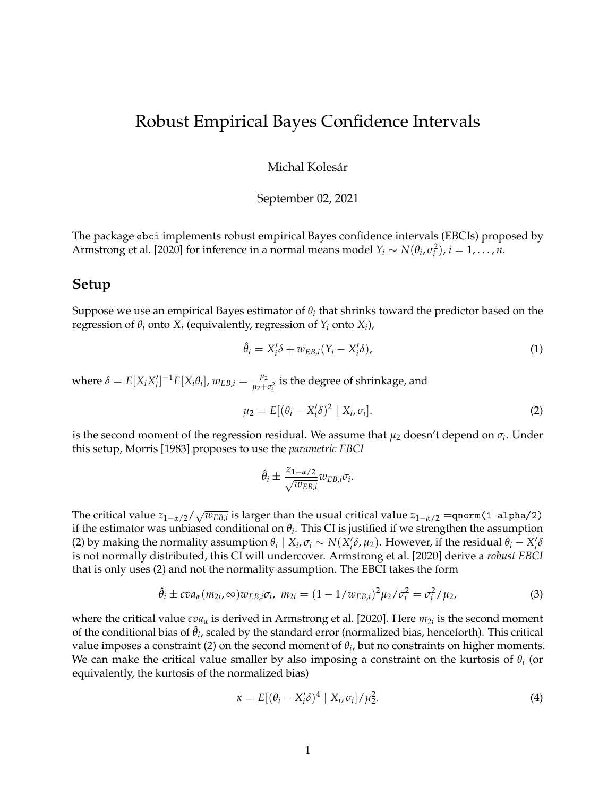## Robust Empirical Bayes Confidence Intervals

Michal Kolesár

September 02, 2021

The package ebci implements robust empirical Bayes confidence intervals (EBCIs) proposed by [Armstrong et al.](#page-4-0) [\[2020\]](#page-4-0) for inference in a normal means model  $Y_i \sim N(\theta_i, \sigma_i^2)$ ,  $i = 1, ..., n$ .

## **Setup**

Suppose we use an empirical Bayes estimator of  $\theta_i$  that shrinks toward the predictor based on the regression of  $\theta_i$  onto  $X_i$  (equivalently, regression of  $Y_i$  onto  $X_i$ ),

<span id="page-0-1"></span>
$$
\hat{\theta}_i = X_i' \delta + w_{EB,i}(Y_i - X_i' \delta), \tag{1}
$$

where  $\delta = E[X_i X'_i]^{-1} E[X_i \theta_i]$ ,  $w_{EB,i} = \frac{\mu_2}{\mu_2 + \mu_1}$  $\frac{\mu_2}{\mu_2+\sigma_i^2}$  is the degree of shrinkage, and

<span id="page-0-0"></span>
$$
\mu_2 = E[(\theta_i - X_i^{\prime} \delta)^2 \mid X_i, \sigma_i]. \tag{2}
$$

is the second moment of the regression residual. We assume that  $\mu_2$  doesn't depend on  $\sigma_i.$  Under this setup, [Morris](#page-4-1) [\[1983\]](#page-4-1) proposes to use the *parametric EBCI*

$$
\hat{\theta}_i \pm \frac{z_{1-\alpha/2}}{\sqrt{w_{EB,i}}} w_{EB,i} \sigma_i.
$$

The critical value  $z_{1-\alpha/2}/\sqrt{w_{EB,i}}$  is larger than the usual critical value  $z_{1-\alpha/2}=$ qnorm(1-a1pha/2) if the estimator was unbiased conditional on *θ<sup>i</sup>* . This CI is justified if we strengthen the assumption [\(2\)](#page-0-0) by making the normality assumption  $\theta_i \mid X_i, \sigma_i \sim N(X_i'\delta, \mu_2)$ . However, if the residual  $\theta_i - X_i'\delta$ is not normally distributed, this CI will undercover. [Armstrong et al.](#page-4-0) [\[2020\]](#page-4-0) derive a *robust EBCI* that is only uses [\(2\)](#page-0-0) and not the normality assumption. The EBCI takes the form

<span id="page-0-2"></span>
$$
\hat{\theta}_i \pm c\sigma_{\alpha}(m_{2i}, \infty)w_{EB,i}\sigma_i, \ m_{2i} = (1 - 1/w_{EB,i})^2\mu_2/\sigma_i^2 = \sigma_i^2/\mu_2,\tag{3}
$$

where the critical value *cva*<sub>*α*</sub> is derived in [Armstrong et al.](#page-4-0) [\[2020\]](#page-4-0). Here *m*<sub>2*i*</sub> is the second moment of the conditional bias of  $\hat{\theta}_i$ , scaled by the standard error (normalized bias, henceforth). This critical value imposes a constraint [\(2\)](#page-0-0) on the second moment of  $\theta_i$ , but no constraints on higher moments. We can make the critical value smaller by also imposing a constraint on the kurtosis of *θ<sup>i</sup>* (or equivalently, the kurtosis of the normalized bias)

$$
\kappa = E[(\theta_i - X_i^{\prime} \delta)^4 | X_i, \sigma_i] / \mu_2^2.
$$
 (4)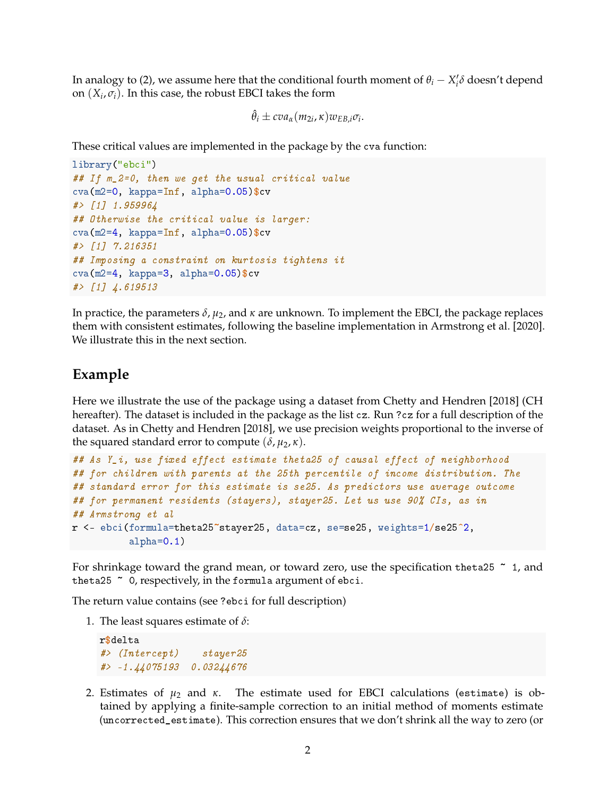In analogy to [\(2\)](#page-0-0), we assume here that the conditional fourth moment of  $\theta_i - X_i' \delta$  doesn't depend on  $(X_i, \sigma_i)$ . In this case, the robust EBCI takes the form

$$
\hat{\theta}_i \pm c v a_{\alpha}(m_{2i}, \kappa) w_{EB,i} \sigma_i.
$$

These critical values are implemented in the package by the cva function:

```
library("ebci")
## If m_2=0, then we get the usual critical value
cva(m2=0, kappa=Inf, alpha=0.05)$cv
#> [1] 1.959964
## Otherwise the critical value is larger:
cva(m2=4, kappa=Inf, alpha=0.05)$cv
#> [1] 7.216351
## Imposing a constraint on kurtosis tightens it
cva(m2=4, kappa=3, alpha=0.05)$cv
#> [1] 4.619513
```
In practice, the parameters *δ*, *µ*2, and *κ* are unknown. To implement the EBCI, the package replaces them with consistent estimates, following the baseline implementation in [Armstrong et al.](#page-4-0) [\[2020\]](#page-4-0). We illustrate this in the next section.

## **Example**

Here we illustrate the use of the package using a dataset from [Chetty and Hendren](#page-4-2) [\[2018\]](#page-4-2) (CH hereafter). The dataset is included in the package as the list cz. Run ?cz for a full description of the dataset. As in [Chetty and Hendren](#page-4-2) [\[2018\]](#page-4-2), we use precision weights proportional to the inverse of the squared standard error to compute ( $\delta$ ,  $\mu_2$ ,  $\kappa$ ).

```
## As Y_i, use fixed effect estimate theta25 of causal effect of neighborhood
## for children with parents at the 25th percentile of income distribution. The
## standard error for this estimate is se25. As predictors use average outcome
## for permanent residents (stayers), stayer25. Let us use 90% CIs, as in
## Armstrong et al
r <- ebci(formula=theta25~stayer25, data=cz, se=se25, weights=1/se25-
2,
          alpha=0.1)
```
For shrinkage toward the grand mean, or toward zero, use the specification theta25  $\degree$  1, and theta25 ~ 0, respectively, in the formula argument of ebci.

The return value contains (see ?ebci for full description)

1. The least squares estimate of *δ*:

```
r$delta
#> (Intercept) stayer25
#> -1.44075193 0.03244676
```
2. Estimates of *µ*<sup>2</sup> and *κ*. The estimate used for EBCI calculations (estimate) is obtained by applying a finite-sample correction to an initial method of moments estimate (uncorrected\_estimate). This correction ensures that we don't shrink all the way to zero (or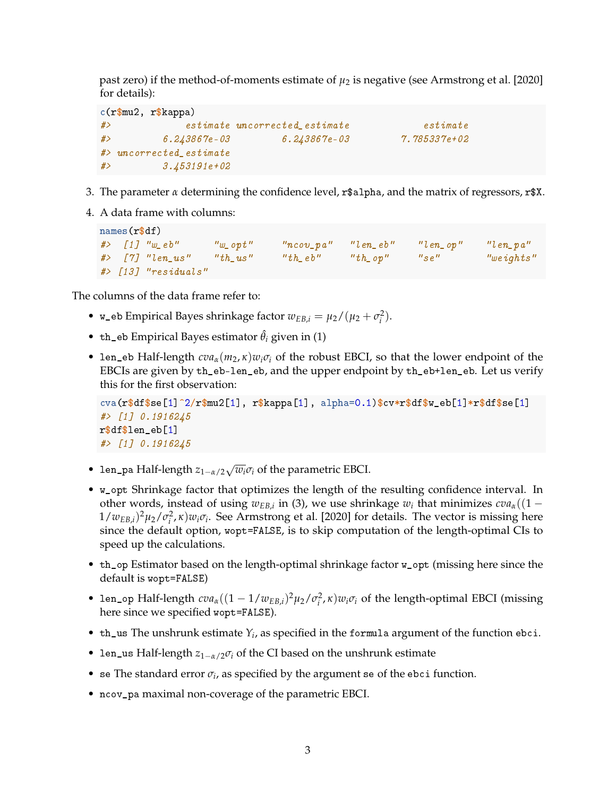past zero) if the method-of-moments estimate of  $\mu_2$  is negative (see [Armstrong et al.](#page-4-0) [\[2020\]](#page-4-0) for details):

```
c(r$mu2, r$kappa)
#> estimate uncorrected_estimate estimate
#> 6.243867e-03 6.243867e-03 7.785337e+02
#> uncorrected_estimate
#> 3.453191e+02
```
- 3. The parameter *α* determining the confidence level, r\$alpha, and the matrix of regressors, r\$X.
- 4. A data frame with columns:

```
names(r$df)
#> [1] "w_eb" "w_opt" "ncov_pa" "len_eb" "len_op" "len_pa"
#> [7] "len_us" "th_us" "th_eb" "th_op" "se" "weights"
#> [13] "residuals"
```
The columns of the data frame refer to:

- $w_e$ eb Empirical Bayes shrinkage factor  $w_{EB,i} = \mu_2 / (\mu_2 + \sigma_i^2)$ .
- th\_eb Empirical Bayes estimator  $\hat{\theta}_i$  given in [\(1\)](#page-0-1)
- len\_eb Half-length  $cva_\alpha(m_2, \kappa)w_i\sigma_i$  of the robust EBCI, so that the lower endpoint of the EBCIs are given by th\_eb-len\_eb, and the upper endpoint by th\_eb+len\_eb. Let us verify this for the first observation:

```
cva(r$df$se[1]^2/r$mu2[1], r$kappa[1], alpha=0.1)$cv*r$df$w_eb[1]*r$df$se[1]
#> [1] 0.1916245
r$df$len_eb[1]
#> [1] 0.1916245
```
- len\_pa Half-length *<sup>z</sup>*1−*α*/2<sup>√</sup> *wiσ<sup>i</sup>* of the parametric EBCI.
- w\_opt Shrinkage factor that optimizes the length of the resulting confidence interval. In other words, instead of using  $w_{EB,i}$  in [\(3\)](#page-0-2), we use shrinkage  $w_i$  that minimizes  $cva_\alpha((1 1/w_{EB,i})^2$ μ<sub>2</sub>/ $\sigma_i^2$ , κ) $w_i \sigma_i$ . See [Armstrong et al.](#page-4-0) [\[2020\]](#page-4-0) for details. The vector is missing here since the default option, wopt=FALSE, is to skip computation of the length-optimal CIs to speed up the calculations.
- th\_op Estimator based on the length-optimal shrinkage factor w\_opt (missing here since the default is wopt=FALSE)
- len\_op Half-length  $cva_{\alpha}((1 1/w_{EB,i})^2 \mu_2 / \sigma_i^2, \kappa) w_i \sigma_i$  of the length-optimal EBCI (missing here since we specified wopt=FALSE).
- $th_$ us The unshrunk estimate  $Y_i$ , as specified in the formula argument of the function ebci.
- len\_us Half-length *z*1−*α*/2*σ<sup>i</sup>* of the CI based on the unshrunk estimate
- se The standard error  $\sigma_i$ , as specified by the argument se of the ebci function.
- ncov\_pa maximal non-coverage of the parametric EBCI.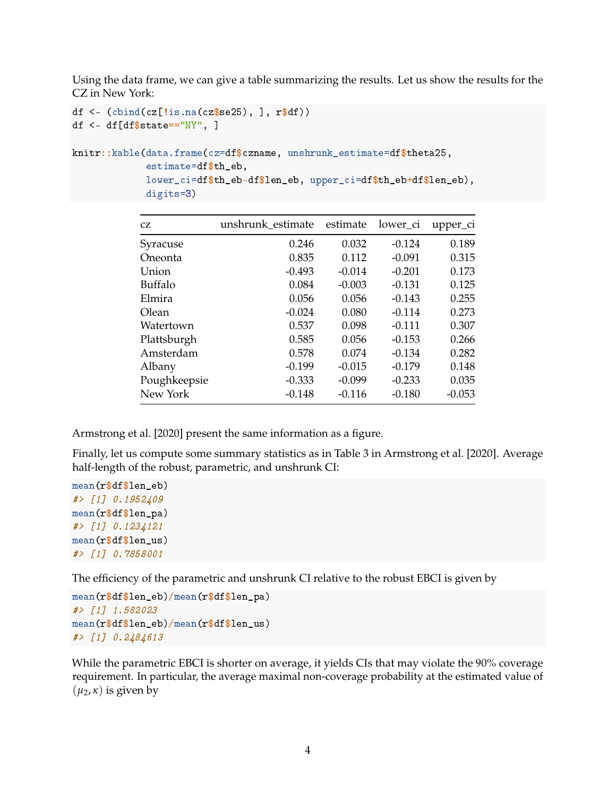Using the data frame, we can give a table summarizing the results. Let us show the results for the CZ in New York:

```
df \leftarrow (cbind(cz[!is.na(cz$se25), ], r$df))
df \leq df [df$state=="NY", ]
knitr::kable(data.frame(cz=df$czname, unshrunk_estimate=df$theta25,
              estimate=df$th_eb,
              lower_ci=df$th_eb-df$len_eb, upper_ci=df$th_eb+df$len_eb),
              digits=3)
```

| CZ           | unshrunk_estimate | estimate | lower_ci | upper_ci |
|--------------|-------------------|----------|----------|----------|
| Syracuse     | 0.246             | 0.032    | $-0.124$ | 0.189    |
| Oneonta      | 0.835             | 0.112    | $-0.091$ | 0.315    |
| Union        | $-0.493$          | $-0.014$ | $-0.201$ | 0.173    |
| Buffalo      | 0.084             | $-0.003$ | $-0.131$ | 0.125    |
| Elmira       | 0.056             | 0.056    | $-0.143$ | 0.255    |
| Olean        | $-0.024$          | 0.080    | $-0.114$ | 0.273    |
| Watertown    | 0.537             | 0.098    | $-0.111$ | 0.307    |
| Plattsburgh  | 0.585             | 0.056    | $-0.153$ | 0.266    |
| Amsterdam    | 0.578             | 0.074    | $-0.134$ | 0.282    |
| Albany       | $-0.199$          | $-0.015$ | $-0.179$ | 0.148    |
| Poughkeepsie | $-0.333$          | $-0.099$ | $-0.233$ | 0.035    |
| New York     | $-0.148$          | $-0.116$ | $-0.180$ | $-0.053$ |

[Armstrong et al.](#page-4-0) [\[2020\]](#page-4-0) present the same information as a figure.

Finally, let us compute some summary statistics as in Table 3 in [Armstrong et al.](#page-4-0) [\[2020\]](#page-4-0). Average half-length of the robust, parametric, and unshrunk CI:

```
mean(r$df$len_eb)
#> [1] 0.1952409
mean(r$df$len_pa)
#> [1] 0.1234121
mean(r$df$len_us)
#> [1] 0.7858001
```
The efficiency of the parametric and unshrunk CI relative to the robust EBCI is given by

```
mean(r$df$len_eb)/mean(r$df$len_pa)
#> [1] 1.582023
mean(r$df$len_eb)/mean(r$df$len_us)
#> [1] 0.2484613
```
While the parametric EBCI is shorter on average, it yields CIs that may violate the 90% coverage requirement. In particular, the average maximal non-coverage probability at the estimated value of  $(\mu_2, \kappa)$  is given by